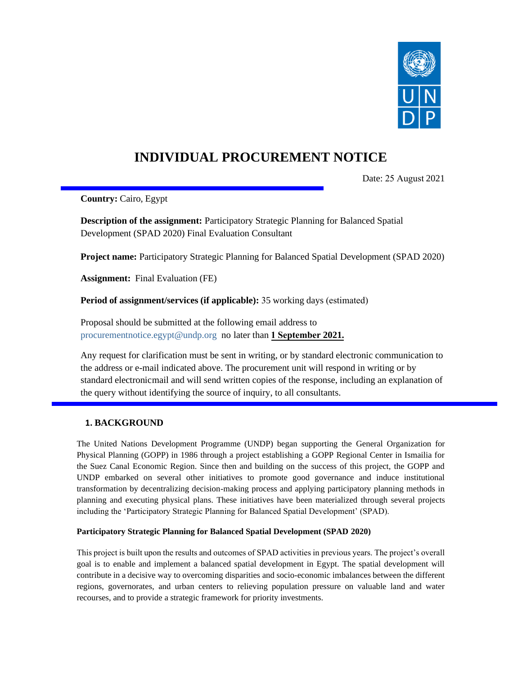

# **INDIVIDUAL PROCUREMENT NOTICE**

Date: 25 August 2021

**Country:** Cairo, Egypt

**Description of the assignment:** Participatory Strategic Planning for Balanced Spatial Development (SPAD 2020) Final Evaluation Consultant

**Project name:** Participatory Strategic Planning for Balanced Spatial Development (SPAD 2020)

**Assignment:** Final Evaluation (FE)

**Period of assignment/services (if applicable):** 35 working days (estimated)

Proposal should be submitted at the following email address to [procurementnotice.egypt@undp.org](file:///C:/Users/Deena%20Refai/AppData/Local/Microsoft/Windows/INetCache/Content.Outlook/8KTDVJEK/procurementnotice.egypt@undp.org) no later than **1 September 2021.**

Any request for clarification must be sent in writing, or by standard electronic communication to the address or e-mail indicated above. The procurement unit will respond in writing or by standard electronic mail and will send written copies of the response, including an explanation of the query without identifying the source of inquiry, to all consultants.

# **1. BACKGROUND**

The United Nations Development Programme (UNDP) began supporting the General Organization for Physical Planning (GOPP) in 1986 through a project establishing a GOPP Regional Center in Ismailia for the Suez Canal Economic Region. Since then and building on the success of this project, the GOPP and UNDP embarked on several other initiatives to promote good governance and induce institutional transformation by decentralizing decision-making process and applying participatory planning methods in planning and executing physical plans. These initiatives have been materialized through several projects including the 'Participatory Strategic Planning for Balanced Spatial Development' (SPAD).

#### **Participatory Strategic Planning for Balanced Spatial Development (SPAD 2020)**

This project is built upon the results and outcomes of SPAD activities in previous years. The project's overall goal is to enable and implement a balanced spatial development in Egypt. The spatial development will contribute in a decisive way to overcoming disparities and socio-economic imbalances between the different regions, governorates, and urban centers to relieving population pressure on valuable land and water recourses, and to provide a strategic framework for priority investments.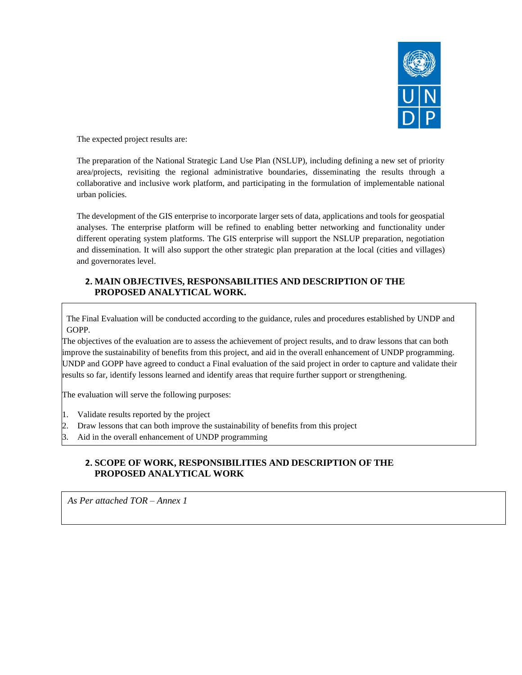

The expected project results are:

The preparation of the National Strategic Land Use Plan (NSLUP), including defining a new set of priority area/projects, revisiting the regional administrative boundaries, disseminating the results through a collaborative and inclusive work platform, and participating in the formulation of implementable national urban policies.

The development of the GIS enterprise to incorporate larger sets of data, applications and tools for geospatial analyses. The enterprise platform will be refined to enabling better networking and functionality under different operating system platforms. The GIS enterprise will support the NSLUP preparation, negotiation and dissemination. It will also support the other strategic plan preparation at the local (cities and villages) and governorates level.

# **2. MAIN OBJECTIVES, RESPONSABILITIES AND DESCRIPTION OF THE PROPOSED ANALYTICAL WORK.**

The Final Evaluation will be conducted according to the guidance, rules and procedures established by UNDP and GOPP.

The objectives of the evaluation are to assess the achievement of project results, and to draw lessons that can both improve the sustainability of benefits from this project, and aid in the overall enhancement of UNDP programming. UNDP and GOPP have agreed to conduct a Final evaluation of the said project in order to capture and validate their results so far, identify lessons learned and identify areas that require further support or strengthening.

The evaluation will serve the following purposes:

- 1. Validate results reported by the project
- 2. Draw lessons that can both improve the sustainability of benefits from this project
- Aid in the overall enhancement of UNDP programming

# **2. SCOPE OF WORK, RESPONSIBILITIES AND DESCRIPTION OF THE PROPOSED ANALYTICAL WORK**

*As Per attached TOR – Annex 1*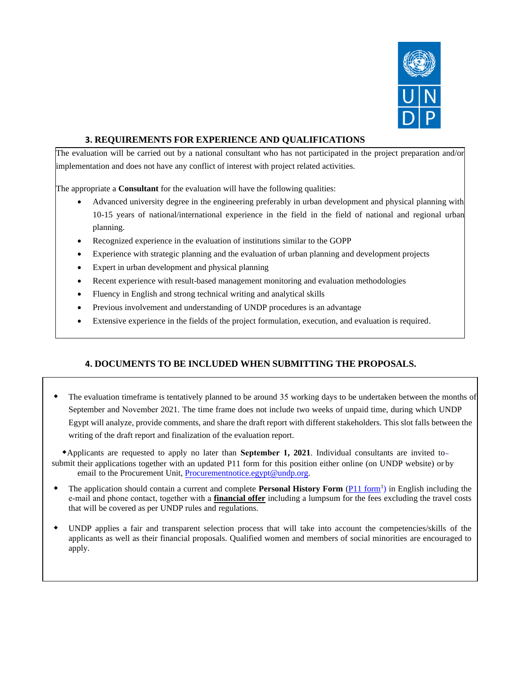

# **3. REQUIREMENTS FOR EXPERIENCE AND QUALIFICATIONS**

The evaluation will be carried out by a national consultant who has not participated in the project preparation and/or implementation and does not have any conflict of interest with project related activities.

The appropriate a **Consultant** for the evaluation will have the following qualities:

- Advanced university degree in the engineering preferably in urban development and physical planning with 10-15 years of national/international experience in the field in the field of national and regional urban planning.
- Recognized experience in the evaluation of institutions similar to the GOPP
- Experience with strategic planning and the evaluation of urban planning and development projects
- Expert in urban development and physical planning
- Recent experience with result-based management monitoring and evaluation methodologies
- Fluency in English and strong technical writing and analytical skills
- Previous involvement and understanding of UNDP procedures is an advantage
- Extensive experience in the fields of the project formulation, execution, and evaluation is required.

# **4. DOCUMENTS TO BE INCLUDED WHEN SUBMITTING THE PROPOSALS.**

 The evaluation timeframe is tentatively planned to be around 35 working days to be undertaken between the months of September and November 2021. The time frame does not include two weeks of unpaid time, during which UNDP Egypt will analyze, provide comments, and share the draft report with different stakeholders. This slot falls between the writing of the draft report and finalization of the evaluation report.

 Applicants are requested to apply no later than **September 1, 2021**. Individual consultants are invited to submit their applications together with an updated P11 form for this position either online (on UNDP website) or by email to the Procurement Unit, [Procurementnotice.egypt@undp.org.](mailto:Procurementnotice.egypt@undp.org)

- The application should contain a current and complete **Personal History Form** (*P11 form<sup>1</sup>)* in English including the e‐mail and phone contact, together with a **financial offer** including a lumpsum for the fees excluding the travel costs that will be covered as per UNDP rules and regulations.
- UNDP applies a fair and transparent selection process that will take into account the competencies/skills of the applicants as well as their financial proposals. Qualified women and members of social minorities are encouraged to apply.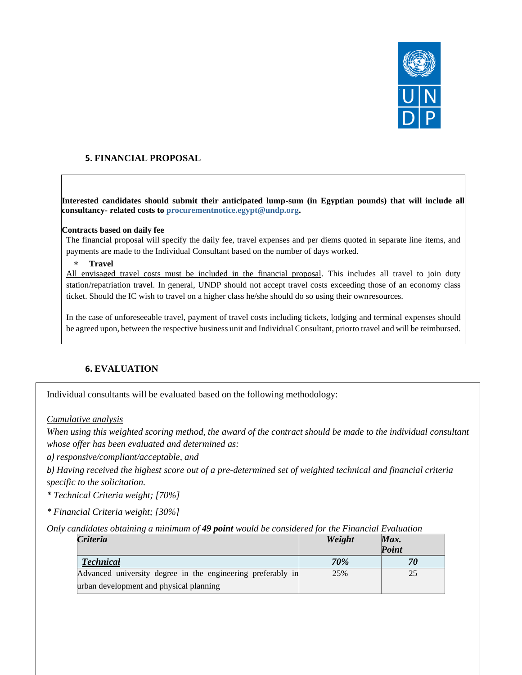

# **5. FINANCIAL PROPOSAL**

**Interested candidates should submit their anticipated lump-sum (in Egyptian pounds) that will include all consultancy- related costs to [procurementnotice.egypt@undp.org.](file:///C:/Users/Deena%20Refai/AppData/Local/Microsoft/Windows/INetCache/Content.Outlook/8KTDVJEK/procurementnotice.egypt@undp.org)**

#### **Contracts based on daily fee**

The financial proposal will specify the daily fee, travel expenses and per diems quoted in separate line items, and payments are made to the Individual Consultant based on the number of days worked.

#### **Travel**

All envisaged travel costs must be included in the financial proposal. This includes all travel to join duty station/repatriation travel. In general, UNDP should not accept travel costs exceeding those of an economy class ticket. Should the IC wish to travel on a higher class he/she should do so using their ownresources.

In the case of unforeseeable travel, payment of travel costs including tickets, lodging and terminal expenses should be agreed upon, between the respective business unit and Individual Consultant, priorto travel and will be reimbursed.

#### **6. EVALUATION**

Individual consultants will be evaluated based on the following methodology:

*Cumulative analysis*

*When using this weighted scoring method, the award of the contract should be made to the individual consultant whose offer has been evaluated and determined as:*

*a) responsive/compliant/acceptable, and*

*b) Having received the highest score out of a pre-determined set of weighted technical and financial criteria specific to the solicitation.*

*\* Technical Criteria weight; [70%]*

*\* Financial Criteria weight; [30%]*

*Only candidates obtaining a minimum of 49 point would be considered for the Financial Evaluation*

| Criteria                                                    | Weight     | Max.<br>Point |
|-------------------------------------------------------------|------------|---------------|
| <b>Technical</b>                                            | <b>70%</b> | 70            |
| Advanced university degree in the engineering preferably in | 25%        | 25            |
| urban development and physical planning                     |            |               |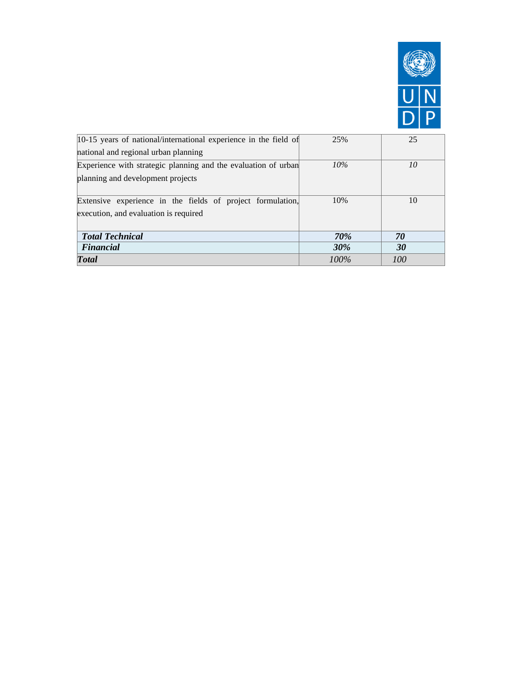

| 10-15 years of national/international experience in the field of | 25%        | 25  |  |
|------------------------------------------------------------------|------------|-----|--|
| national and regional urban planning                             |            |     |  |
| Experience with strategic planning and the evaluation of urban   | $10\%$     | 10  |  |
| planning and development projects                                |            |     |  |
|                                                                  |            |     |  |
| Extensive experience in the fields of project formulation,       | 10%        | 10  |  |
| execution, and evaluation is required                            |            |     |  |
|                                                                  |            |     |  |
| <b>Total Technical</b>                                           | <b>70%</b> | 70  |  |
| <b>Financial</b>                                                 | <b>30%</b> | 30  |  |
| <b>Total</b>                                                     | $100\%$    | 100 |  |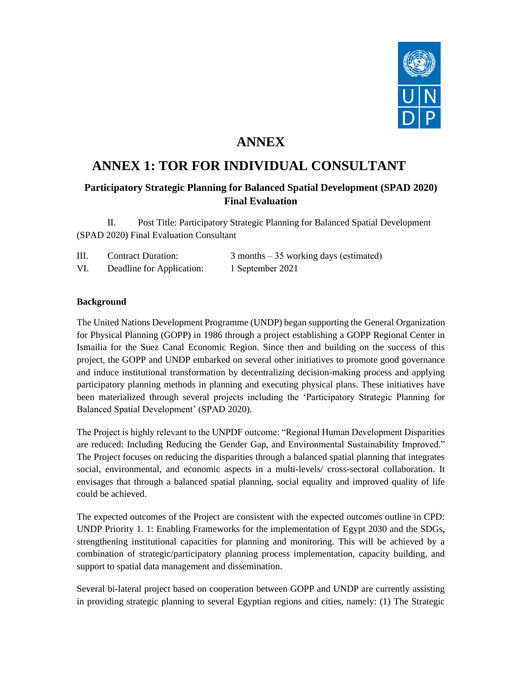

# **ANNEX**

# **ANNEX 1: TOR FOR INDIVIDUAL CONSULTANT**

# **Participatory Strategic Planning for Balanced Spatial Development (SPAD 2020) Final Evaluation**

II. Post Title: Participatory Strategic Planning for Balanced Spatial Development (SPAD 2020) Final Evaluation Consultant

| III. | <b>Contract Duration:</b> | $3$ months $-35$ working days (estimated) |
|------|---------------------------|-------------------------------------------|
| VI.  | Deadline for Application: | 1 September 2021                          |

# **Background**

The United Nations Development Programme (UNDP) began supporting the General Organization for Physical Planning (GOPP) in 1986 through a project establishing a GOPP Regional Center in Ismailia for the Suez Canal Economic Region. Since then and building on the success of this project, the GOPP and UNDP embarked on several other initiatives to promote good governance and induce institutional transformation by decentralizing decision-making process and applying participatory planning methods in planning and executing physical plans. These initiatives have been materialized through several projects including the 'Participatory Strategic Planning for Balanced Spatial Development' (SPAD 2020).

The Project is highly relevant to the UNPDF outcome: "Regional Human Development Disparities are reduced: Including Reducing the Gender Gap, and Environmental Sustainability Improved." The Project focuses on reducing the disparities through a balanced spatial planning that integrates social, environmental, and economic aspects in a multi-levels/ cross-sectoral collaboration. It envisages that through a balanced spatial planning, social equality and improved quality of life could be achieved.

The expected outcomes of the Project are consistent with the expected outcomes outline in CPD: UNDP Priority 1. 1: Enabling Frameworks for the implementation of Egypt 2030 and the SDGs, strengthening institutional capacities for planning and monitoring. This will be achieved by a combination of strategic/participatory planning process implementation, capacity building, and support to spatial data management and dissemination.

Several bi-lateral project based on cooperation between GOPP and UNDP are currently assisting in providing strategic planning to several Egyptian regions and cities, namely: (1) The Strategic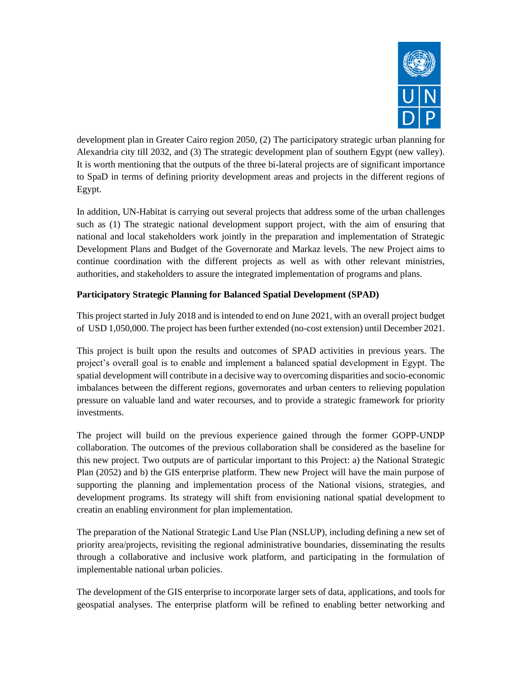

development plan in Greater Cairo region 2050, (2) The participatory strategic urban planning for Alexandria city till 2032, and (3) The strategic development plan of southern Egypt (new valley). It is worth mentioning that the outputs of the three bi-lateral projects are of significant importance to SpaD in terms of defining priority development areas and projects in the different regions of Egypt.

In addition, UN-Habitat is carrying out several projects that address some of the urban challenges such as (1) The strategic national development support project, with the aim of ensuring that national and local stakeholders work jointly in the preparation and implementation of Strategic Development Plans and Budget of the Governorate and Markaz levels. The new Project aims to continue coordination with the different projects as well as with other relevant ministries, authorities, and stakeholders to assure the integrated implementation of programs and plans.

# **Participatory Strategic Planning for Balanced Spatial Development (SPAD)**

This project started in July 2018 and is intended to end on June 2021, with an overall project budget of USD 1,050,000. The project has been further extended (no-cost extension) until December 2021.

This project is built upon the results and outcomes of SPAD activities in previous years. The project's overall goal is to enable and implement a balanced spatial development in Egypt. The spatial development will contribute in a decisive way to overcoming disparities and socio-economic imbalances between the different regions, governorates and urban centers to relieving population pressure on valuable land and water recourses, and to provide a strategic framework for priority investments.

The project will build on the previous experience gained through the former GOPP-UNDP collaboration. The outcomes of the previous collaboration shall be considered as the baseline for this new project. Two outputs are of particular important to this Project: a) the National Strategic Plan (2052) and b) the GIS enterprise platform. Thew new Project will have the main purpose of supporting the planning and implementation process of the National visions, strategies, and development programs. Its strategy will shift from envisioning national spatial development to creatin an enabling environment for plan implementation.

The preparation of the National Strategic Land Use Plan (NSLUP), including defining a new set of priority area/projects, revisiting the regional administrative boundaries, disseminating the results through a collaborative and inclusive work platform, and participating in the formulation of implementable national urban policies.

The development of the GIS enterprise to incorporate larger sets of data, applications, and tools for geospatial analyses. The enterprise platform will be refined to enabling better networking and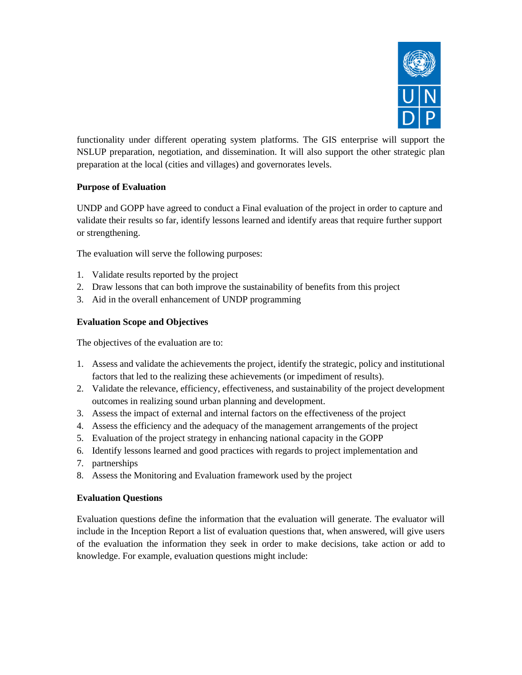

functionality under different operating system platforms. The GIS enterprise will support the NSLUP preparation, negotiation, and dissemination. It will also support the other strategic plan preparation at the local (cities and villages) and governorates levels.

# **Purpose of Evaluation**

UNDP and GOPP have agreed to conduct a Final evaluation of the project in order to capture and validate their results so far, identify lessons learned and identify areas that require further support or strengthening.

The evaluation will serve the following purposes:

- 1. Validate results reported by the project
- 2. Draw lessons that can both improve the sustainability of benefits from this project
- 3. Aid in the overall enhancement of UNDP programming

#### **Evaluation Scope and Objectives**

The objectives of the evaluation are to:

- 1. Assess and validate the achievements the project, identify the strategic, policy and institutional factors that led to the realizing these achievements (or impediment of results).
- 2. Validate the relevance, efficiency, effectiveness, and sustainability of the project development outcomes in realizing sound urban planning and development.
- 3. Assess the impact of external and internal factors on the effectiveness of the project
- 4. Assess the efficiency and the adequacy of the management arrangements of the project
- 5. Evaluation of the project strategy in enhancing national capacity in the GOPP
- 6. Identify lessons learned and good practices with regards to project implementation and
- 7. partnerships
- 8. Assess the Monitoring and Evaluation framework used by the project

#### **Evaluation Questions**

Evaluation questions define the information that the evaluation will generate. The evaluator will include in the Inception Report a list of evaluation questions that, when answered, will give users of the evaluation the information they seek in order to make decisions, take action or add to knowledge. For example, evaluation questions might include: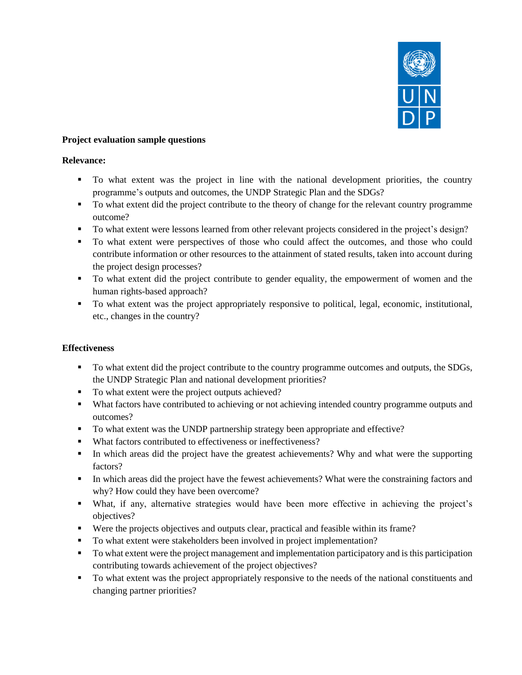

#### **Project evaluation sample questions**

#### **Relevance:**

- To what extent was the project in line with the national development priorities, the country programme's outputs and outcomes, the UNDP Strategic Plan and the SDGs?
- To what extent did the project contribute to the theory of change for the relevant country programme outcome?
- To what extent were lessons learned from other relevant projects considered in the project's design?
- To what extent were perspectives of those who could affect the outcomes, and those who could contribute information or other resources to the attainment of stated results, taken into account during the project design processes?
- To what extent did the project contribute to gender equality, the empowerment of women and the human rights-based approach?
- To what extent was the project appropriately responsive to political, legal, economic, institutional, etc., changes in the country?

#### **Effectiveness**

- To what extent did the project contribute to the country programme outcomes and outputs, the SDGs, the UNDP Strategic Plan and national development priorities?
- To what extent were the project outputs achieved?
- What factors have contributed to achieving or not achieving intended country programme outputs and outcomes?
- To what extent was the UNDP partnership strategy been appropriate and effective?
- What factors contributed to effectiveness or ineffectiveness?
- **•** In which areas did the project have the greatest achievements? Why and what were the supporting factors?
- In which areas did the project have the fewest achievements? What were the constraining factors and why? How could they have been overcome?
- What, if any, alternative strategies would have been more effective in achieving the project's objectives?
- Were the projects objectives and outputs clear, practical and feasible within its frame?
- To what extent were stakeholders been involved in project implementation?
- To what extent were the project management and implementation participatory and is this participation contributing towards achievement of the project objectives?
- To what extent was the project appropriately responsive to the needs of the national constituents and changing partner priorities?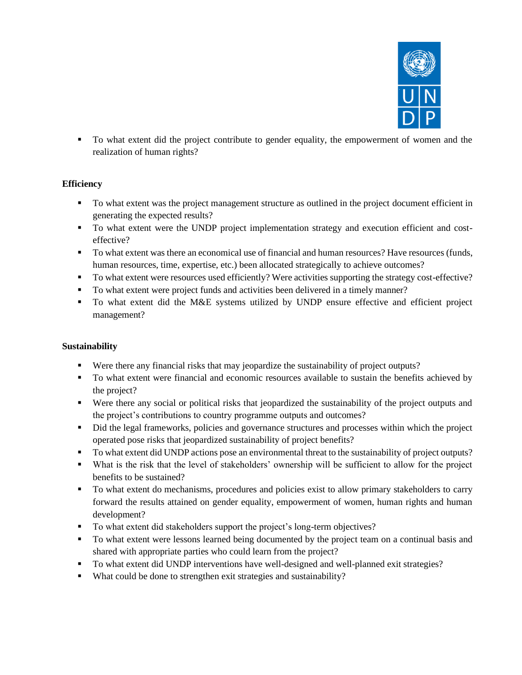

▪ To what extent did the project contribute to gender equality, the empowerment of women and the realization of human rights?

# **Efficiency**

- To what extent was the project management structure as outlined in the project document efficient in generating the expected results?
- To what extent were the UNDP project implementation strategy and execution efficient and costeffective?
- To what extent was there an economical use of financial and human resources? Have resources (funds, human resources, time, expertise, etc.) been allocated strategically to achieve outcomes?
- To what extent were resources used efficiently? Were activities supporting the strategy cost-effective?
- To what extent were project funds and activities been delivered in a timely manner?
- To what extent did the M&E systems utilized by UNDP ensure effective and efficient project management?

# **Sustainability**

- Were there any financial risks that may jeopardize the sustainability of project outputs?
- To what extent were financial and economic resources available to sustain the benefits achieved by the project?
- Were there any social or political risks that jeopardized the sustainability of the project outputs and the project's contributions to country programme outputs and outcomes?
- Did the legal frameworks, policies and governance structures and processes within which the project operated pose risks that jeopardized sustainability of project benefits?
- To what extent did UNDP actions pose an environmental threat to the sustainability of project outputs?
- What is the risk that the level of stakeholders' ownership will be sufficient to allow for the project benefits to be sustained?
- To what extent do mechanisms, procedures and policies exist to allow primary stakeholders to carry forward the results attained on gender equality, empowerment of women, human rights and human development?
- To what extent did stakeholders support the project's long-term objectives?
- To what extent were lessons learned being documented by the project team on a continual basis and shared with appropriate parties who could learn from the project?
- To what extent did UNDP interventions have well-designed and well-planned exit strategies?
- What could be done to strengthen exit strategies and sustainability?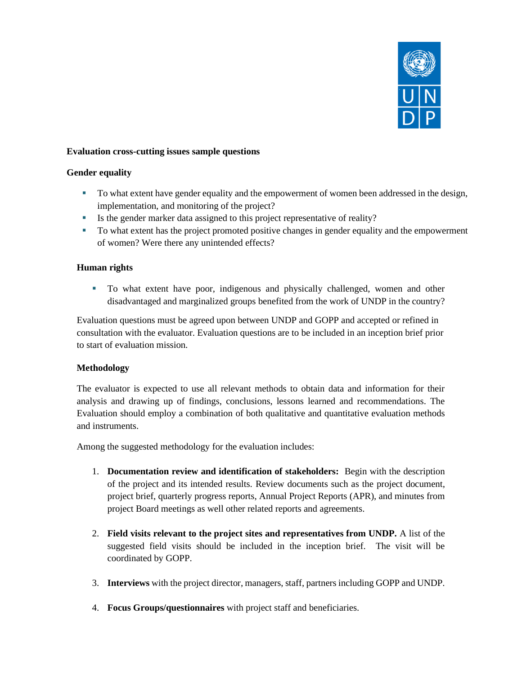

#### **Evaluation cross-cutting issues sample questions**

#### **Gender equality**

- To what extent have gender equality and the empowerment of women been addressed in the design, implementation, and monitoring of the project?
- Is the gender marker data assigned to this project representative of reality?
- To what extent has the project promoted positive changes in gender equality and the empowerment of women? Were there any unintended effects?

# **Human rights**

▪ To what extent have poor, indigenous and physically challenged, women and other disadvantaged and marginalized groups benefited from the work of UNDP in the country?

Evaluation questions must be agreed upon between UNDP and GOPP and accepted or refined in consultation with the evaluator. Evaluation questions are to be included in an inception brief prior to start of evaluation mission.

#### **Methodology**

The evaluator is expected to use all relevant methods to obtain data and information for their analysis and drawing up of findings, conclusions, lessons learned and recommendations. The Evaluation should employ a combination of both qualitative and quantitative evaluation methods and instruments.

Among the suggested methodology for the evaluation includes:

- 1. **Documentation review and identification of stakeholders:** Begin with the description of the project and its intended results. Review documents such as the project document, project brief, quarterly progress reports, Annual Project Reports (APR), and minutes from project Board meetings as well other related reports and agreements.
- 2. **Field visits relevant to the project sites and representatives from UNDP.** A list of the suggested field visits should be included in the inception brief. The visit will be coordinated by GOPP.
- 3. **Interviews** with the project director, managers, staff, partners including GOPP and UNDP.
- 4. **Focus Groups/questionnaires** with project staff and beneficiaries.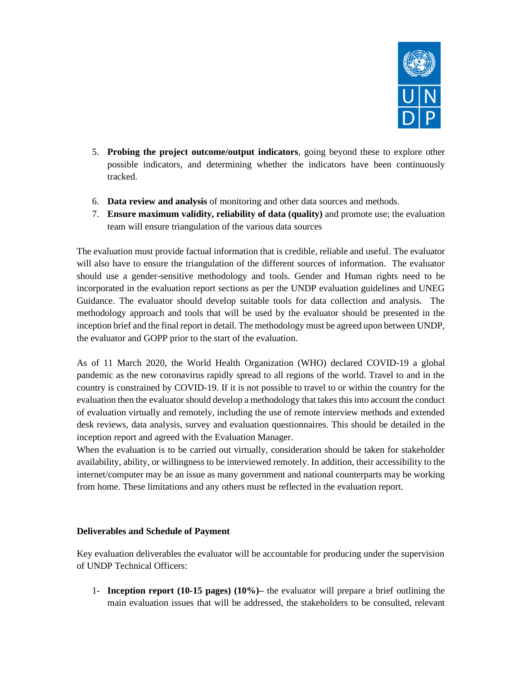

- 5. **Probing the project outcome/output indicators**, going beyond these to explore other possible indicators, and determining whether the indicators have been continuously tracked.
- 6. **Data review and analysis** of monitoring and other data sources and methods.
- 7. **Ensure maximum validity, reliability of data (quality)** and promote use; the evaluation team will ensure triangulation of the various data sources

The evaluation must provide factual information that is credible, reliable and useful. The evaluator will also have to ensure the triangulation of the different sources of information. The evaluator should use a gender-sensitive methodology and tools. Gender and Human rights need to be incorporated in the evaluation report sections as per the UNDP evaluation guidelines and UNEG Guidance. The evaluator should develop suitable tools for data collection and analysis. The methodology approach and tools that will be used by the evaluator should be presented in the inception brief and the final report in detail. The methodology must be agreed upon between UNDP, the evaluator and GOPP prior to the start of the evaluation.

As of 11 March 2020, the World Health Organization (WHO) declared COVID-19 a global pandemic as the new coronavirus rapidly spread to all regions of the world. Travel to and in the country is constrained by COVID-19. If it is not possible to travel to or within the country for the evaluation then the evaluator should develop a methodology that takes this into account the conduct of evaluation virtually and remotely, including the use of remote interview methods and extended desk reviews, data analysis, survey and evaluation questionnaires. This should be detailed in the inception report and agreed with the Evaluation Manager.

When the evaluation is to be carried out virtually, consideration should be taken for stakeholder availability, ability, or willingness to be interviewed remotely. In addition, their accessibility to the internet/computer may be an issue as many government and national counterparts may be working from home. These limitations and any others must be reflected in the evaluation report.

#### **Deliverables and Schedule of Payment**

Key evaluation deliverables the evaluator will be accountable for producing under the supervision of UNDP Technical Officers:

1- **Inception report (10-15 pages) (10%)–** the evaluator will prepare a brief outlining the main evaluation issues that will be addressed, the stakeholders to be consulted, relevant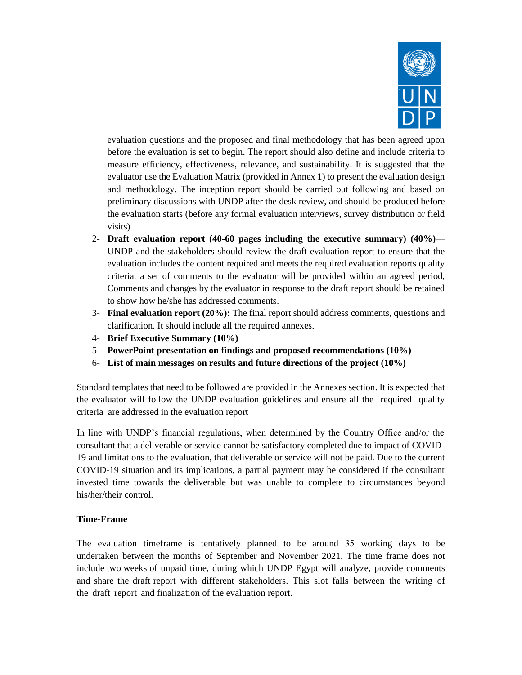

evaluation questions and the proposed and final methodology that has been agreed upon before the evaluation is set to begin. The report should also define and include criteria to measure efficiency, effectiveness, relevance, and sustainability. It is suggested that the evaluator use the Evaluation Matrix (provided in Annex 1) to present the evaluation design and methodology. The inception report should be carried out following and based on preliminary discussions with UNDP after the desk review, and should be produced before the evaluation starts (before any formal evaluation interviews, survey distribution or field visits)

- 2- **Draft evaluation report (40-60 pages including the executive summary) (40%)** UNDP and the stakeholders should review the draft evaluation report to ensure that the evaluation includes the content required and meets the required evaluation reports quality criteria. a set of comments to the evaluator will be provided within an agreed period, Comments and changes by the evaluator in response to the draft report should be retained to show how he/she has addressed comments.
- 3- **Final evaluation report (20%):** The final report should address comments, questions and clarification. It should include all the required annexes.
- 4- **Brief Executive Summary (10%)**
- 5- **PowerPoint presentation on findings and proposed recommendations (10%)**
- 6- **List of main messages on results and future directions of the project (10%)**

Standard templates that need to be followed are provided in the Annexes section. It is expected that the evaluator will follow the UNDP [evaluation](http://web.undp.org/evaluation/guideline/index.shtml) guidelines and ensure all the required quality criteria are addressed in the evaluation report

In line with UNDP's financial regulations, when determined by the Country Office and/or the consultant that a deliverable or service cannot be satisfactory completed due to impact of COVID-19 and limitations to the evaluation, that deliverable or service will not be paid. Due to the current COVID-19 situation and its implications, a partial payment may be considered if the consultant invested time towards the deliverable but was unable to complete to circumstances beyond his/her/their control.

#### **Time-Frame**

The evaluation timeframe is tentatively planned to be around 35 working days to be undertaken between the months of September and November 2021. The time frame does not include two weeks of unpaid time, during which UNDP Egypt will analyze, provide comments and share the draft report with different stakeholders. This slot falls between the writing of the draft report and finalization of the evaluation report.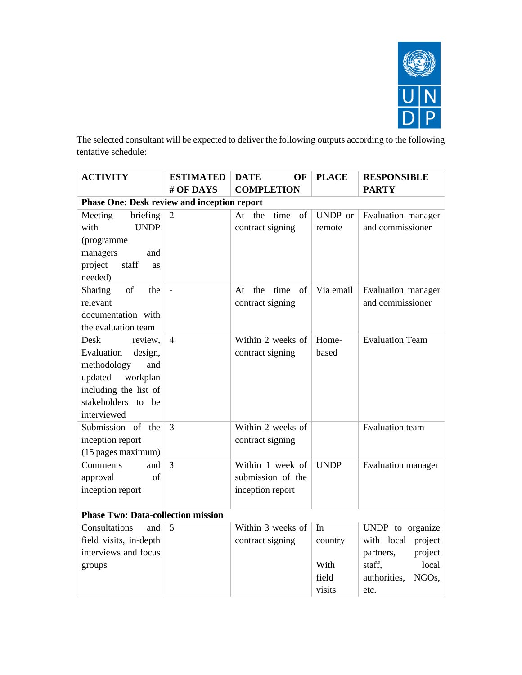

The selected consultant will be expected to deliver the following outputs according to the following tentative schedule:

| <b>ACTIVITY</b>                                    | <b>ESTIMATED</b> | <b>DATE</b><br>OF       | <b>PLACE</b> | <b>RESPONSIBLE</b>                 |
|----------------------------------------------------|------------------|-------------------------|--------------|------------------------------------|
|                                                    | # OF DAYS        | <b>COMPLETION</b>       |              | <b>PARTY</b>                       |
| <b>Phase One: Desk review and inception report</b> |                  |                         |              |                                    |
| Meeting<br>briefing                                | $\overline{2}$   | time<br>At the<br>of    | UNDP or      | Evaluation manager                 |
| with<br><b>UNDP</b>                                |                  | contract signing        | remote       | and commissioner                   |
| (programme                                         |                  |                         |              |                                    |
| managers<br>and                                    |                  |                         |              |                                    |
| project<br>staff<br>as                             |                  |                         |              |                                    |
| needed)                                            |                  |                         |              |                                    |
| <b>Sharing</b><br>of<br>the                        |                  | the<br>time<br>of<br>At | Via email    | Evaluation manager                 |
| relevant                                           |                  | contract signing        |              | and commissioner                   |
| documentation with                                 |                  |                         |              |                                    |
| the evaluation team                                |                  |                         |              |                                    |
| Desk<br>review,                                    | $\overline{4}$   | Within 2 weeks of       | Home-        | <b>Evaluation Team</b>             |
| Evaluation<br>design,                              |                  | contract signing        | based        |                                    |
| methodology<br>and                                 |                  |                         |              |                                    |
| updated<br>workplan                                |                  |                         |              |                                    |
| including the list of                              |                  |                         |              |                                    |
| stakeholders to be                                 |                  |                         |              |                                    |
| interviewed                                        |                  |                         |              |                                    |
| Submission of<br>the                               | 3                | Within 2 weeks of       |              | <b>Evaluation</b> team             |
| inception report                                   |                  | contract signing        |              |                                    |
| (15 pages maximum)                                 |                  |                         |              |                                    |
| Comments<br>and                                    | $\overline{3}$   | Within 1 week of        | <b>UNDP</b>  | Evaluation manager                 |
| approval<br>of                                     |                  | submission of the       |              |                                    |
| inception report                                   |                  | inception report        |              |                                    |
| <b>Phase Two: Data-collection mission</b>          |                  |                         |              |                                    |
| Consultations<br>and                               | 5                | Within 3 weeks of       | In           | UNDP to organize                   |
| field visits, in-depth                             |                  | contract signing        | country      | with local<br>project              |
| interviews and focus                               |                  |                         |              | project<br>partners,               |
| groups                                             |                  |                         | With         | staff,<br>local                    |
|                                                    |                  |                         | field        | authorities,<br>NGO <sub>s</sub> , |
|                                                    |                  |                         | visits       | etc.                               |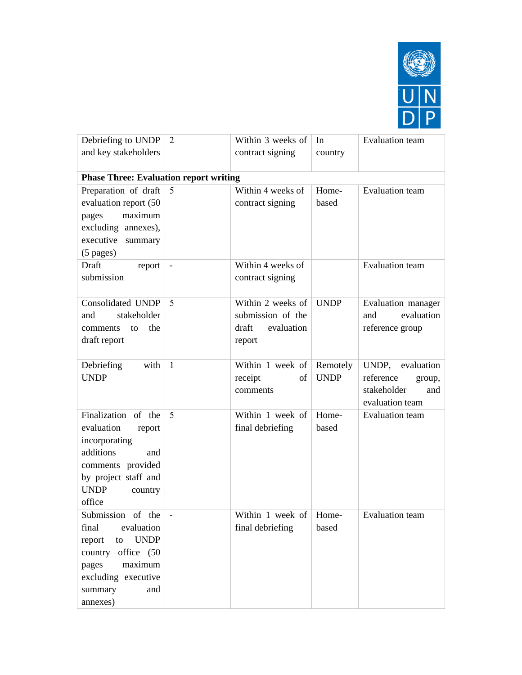

| Debriefing to UNDP                            | 2            | Within 3 weeks of              | In          | <b>Evaluation</b> team |  |
|-----------------------------------------------|--------------|--------------------------------|-------------|------------------------|--|
| and key stakeholders                          |              | contract signing               | country     |                        |  |
| <b>Phase Three: Evaluation report writing</b> |              |                                |             |                        |  |
| Preparation of draft                          | 5            | Within 4 weeks of              | Home-       | <b>Evaluation</b> team |  |
| evaluation report (50                         |              | contract signing               | based       |                        |  |
| maximum<br>pages                              |              |                                |             |                        |  |
| excluding annexes),                           |              |                                |             |                        |  |
| executive summary                             |              |                                |             |                        |  |
| $(5$ pages)                                   |              |                                |             |                        |  |
| Draft<br>report                               |              | Within 4 weeks of              |             | <b>Evaluation</b> team |  |
| submission                                    |              | contract signing               |             |                        |  |
|                                               |              |                                |             |                        |  |
| <b>Consolidated UNDP</b>                      | 5            | Within 2 weeks of              | <b>UNDP</b> | Evaluation manager     |  |
| stakeholder<br>and                            |              | submission of the              |             | evaluation<br>and      |  |
| the<br>comments<br>to                         |              | draft<br>evaluation            |             | reference group        |  |
| draft report                                  |              | report                         |             |                        |  |
|                                               |              |                                |             |                        |  |
| Debriefing<br>with                            | $\mathbf{1}$ | Within 1 week of               | Remotely    | UNDP, evaluation       |  |
| <b>UNDP</b>                                   |              | receipt<br>of                  | <b>UNDP</b> | reference<br>group,    |  |
|                                               |              | comments                       |             | stakeholder<br>and     |  |
|                                               |              |                                |             | evaluation team        |  |
| Finalization of the                           | 5            | Within 1 week of               | Home-       | <b>Evaluation</b> team |  |
| evaluation<br>report                          |              | final debriefing               | based       |                        |  |
| incorporating<br>additions                    |              |                                |             |                        |  |
| and                                           |              |                                |             |                        |  |
| comments provided<br>by project staff and     |              |                                |             |                        |  |
| <b>UNDP</b><br>country                        |              |                                |             |                        |  |
| office                                        |              |                                |             |                        |  |
| Submission of the                             |              | Within 1 week of $\vert$ Home- |             | Evaluation team        |  |
| final<br>evaluation                           |              | final debriefing               | based       |                        |  |
| <b>UNDP</b><br>report<br>${\rm to}$           |              |                                |             |                        |  |
| country office (50                            |              |                                |             |                        |  |
| maximum<br>pages                              |              |                                |             |                        |  |
| excluding executive                           |              |                                |             |                        |  |
| summary<br>and                                |              |                                |             |                        |  |
| annexes)                                      |              |                                |             |                        |  |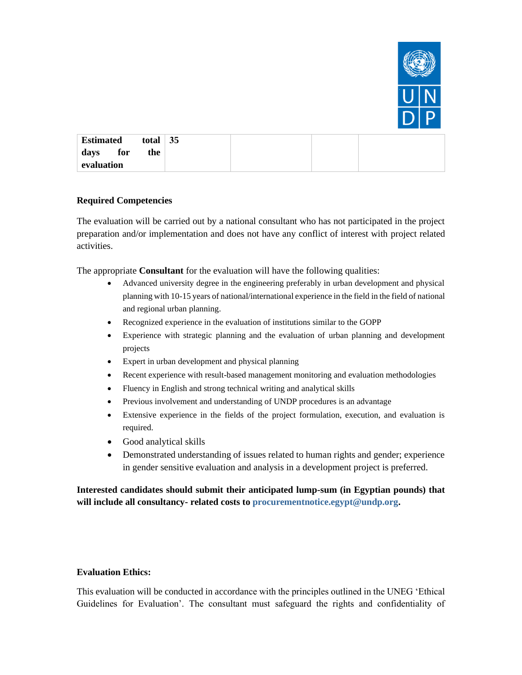

| <b>Estimated</b> | total | 35 |  |  |
|------------------|-------|----|--|--|
| for<br>days      | the   |    |  |  |
| evaluation       |       |    |  |  |

#### **Required Competencies**

The evaluation will be carried out by a national consultant who has not participated in the project preparation and/or implementation and does not have any conflict of interest with project related activities.

The appropriate **Consultant** for the evaluation will have the following qualities:

- Advanced university degree in the engineering preferably in urban development and physical planning with 10-15 years of national/international experience in the field in the field of national and regional urban planning.
- Recognized experience in the evaluation of institutions similar to the GOPP
- Experience with strategic planning and the evaluation of urban planning and development projects
- Expert in urban development and physical planning
- Recent experience with result-based management monitoring and evaluation methodologies
- Fluency in English and strong technical writing and analytical skills
- Previous involvement and understanding of UNDP procedures is an advantage
- Extensive experience in the fields of the project formulation, execution, and evaluation is required.
- Good analytical skills
- Demonstrated understanding of issues related to human rights and gender; experience in gender sensitive evaluation and analysis in a development project is preferred.

**Interested candidates should submit their anticipated lump-sum (in Egyptian pounds) that will include all consultancy- related costs to [procurementnotice.egypt@undp.org.](file:///C:/Users/Deena%20Refai/AppData/Local/Microsoft/Windows/INetCache/Content.Outlook/8KTDVJEK/procurementnotice.egypt@undp.org)**

#### **Evaluation Ethics:**

This evaluation will be conducted in accordance with the principles outlined in the UNEG 'Ethical Guidelines for Evaluation'. The consultant must safeguard the rights and confidentiality of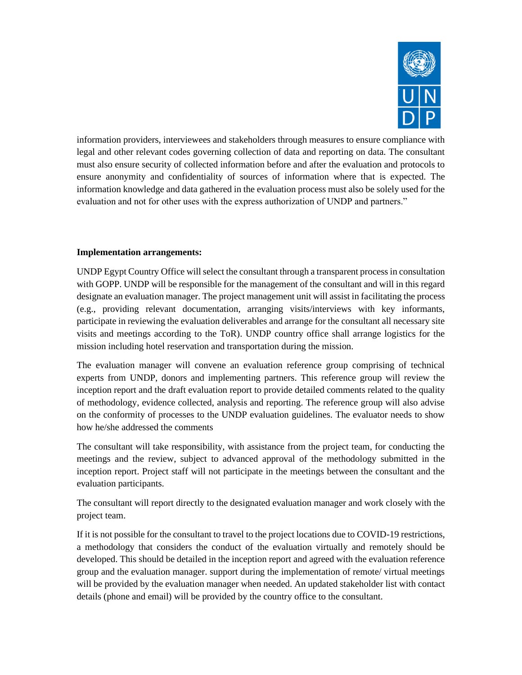

information providers, interviewees and stakeholders through measures to ensure compliance with legal and other relevant codes governing collection of data and reporting on data. The consultant must also ensure security of collected information before and after the evaluation and protocols to ensure anonymity and confidentiality of sources of information where that is expected. The information knowledge and data gathered in the evaluation process must also be solely used for the evaluation and not for other uses with the express authorization of UNDP and partners."

# **Implementation arrangements:**

UNDP Egypt Country Office will select the consultant through a transparent process in consultation with GOPP. UNDP will be responsible for the management of the consultant and will in this regard designate an evaluation manager. The project management unit will assist in facilitating the process (e.g., providing relevant documentation, arranging visits/interviews with key informants, participate in reviewing the evaluation deliverables and arrange for the consultant all necessary site visits and meetings according to the ToR). UNDP country office shall arrange logistics for the mission including hotel reservation and transportation during the mission.

The evaluation manager will convene an evaluation reference group comprising of technical experts from UNDP, donors and implementing partners. This reference group will review the inception report and the draft evaluation report to provide detailed comments related to the quality of methodology, evidence collected, analysis and reporting. The reference group will also advise on the conformity of processes to the UNDP evaluation guidelines. The evaluator needs to show how he/she addressed the comments

The consultant will take responsibility, with assistance from the project team, for conducting the meetings and the review, subject to advanced approval of the methodology submitted in the inception report. Project staff will not participate in the meetings between the consultant and the evaluation participants.

The consultant will report directly to the designated evaluation manager and work closely with the project team.

If it is not possible for the consultant to travel to the project locations due to COVID-19 restrictions, a methodology that considers the conduct of the evaluation virtually and remotely should be developed. This should be detailed in the inception report and agreed with the evaluation reference group and the evaluation manager. support during the implementation of remote/ virtual meetings will be provided by the evaluation manager when needed. An updated stakeholder list with contact details (phone and email) will be provided by the country office to the consultant.